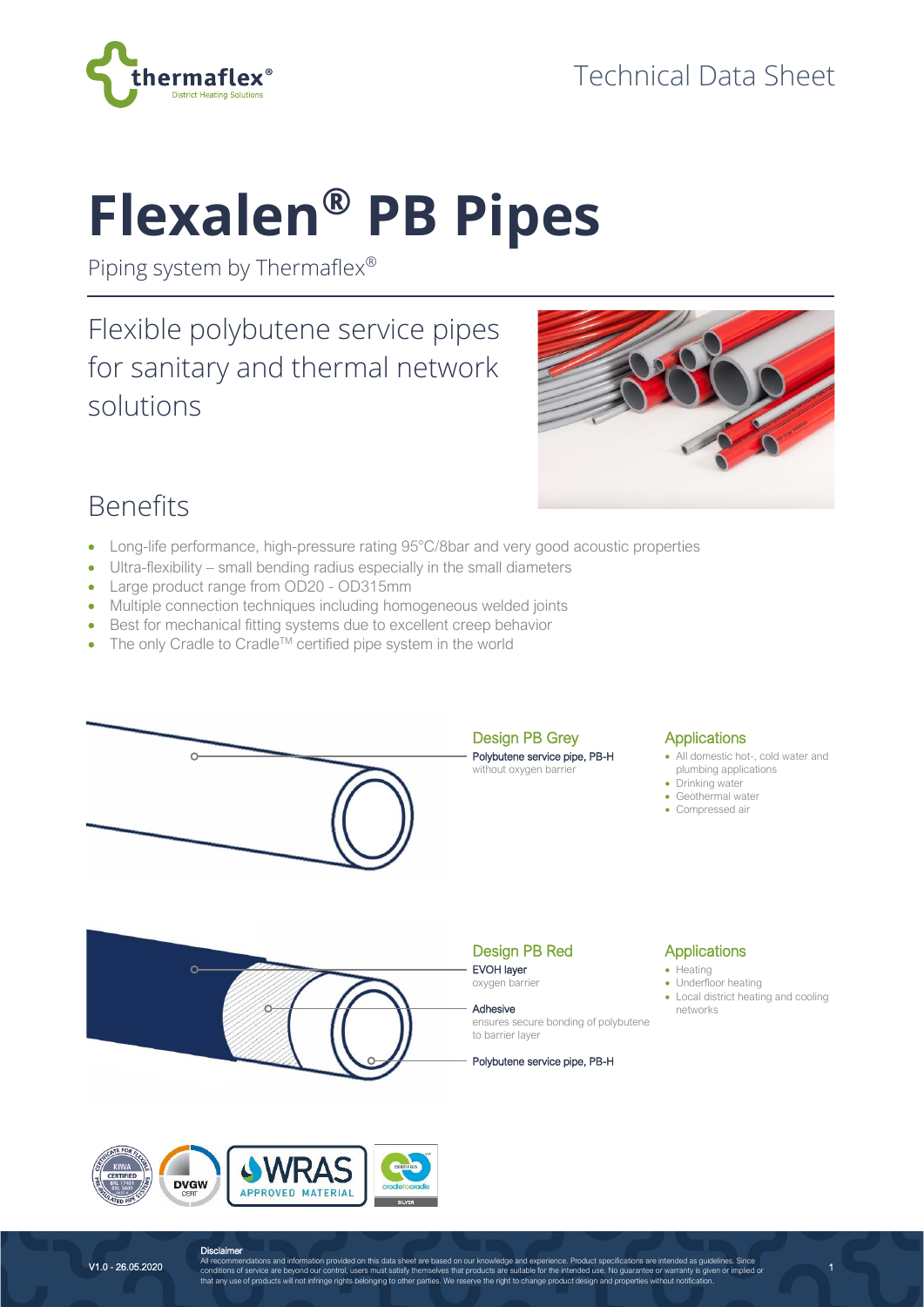

# **Flexalen® PB Pipes**

Piping system by Thermaflex®

Flexible polybutene service pipes for sanitary and thermal network solutions



## Benefits

- Long-life performance, high-pressure rating 95°C/8bar and very good acoustic properties
- Ultra-flexibility small bending radius especially in the small diameters
- Large product range from OD20 OD315mm
- Multiple connection techniques including homogeneous welded joints
- Best for mechanical fitting systems due to excellent creep behavior
- The only Cradle to Cradle<sup>TM</sup> certified pipe system in the world



#### **Applications**

- All domestic hot-, cold water and plumbing applications
- Drinking water
- Geothermal water
- Compressed air



APPROVED MATERIAL

#### Design PB Red EVOH layer

oxygen barrier

to barrier layer

Adhesive ensures secure bonding of polybutene

Polybutene service pipe, PB-H

#### **Applications**

- Heating
- Underfloor heating
- Local district heating and cooling networks

1



**DVGW** 

**Disclaimer**<br>All recommendations and information provided on this data sheet are based on our knowledge and experience. Product specifications are intended as guidelines. Since<br>conditions of service are beyond our control,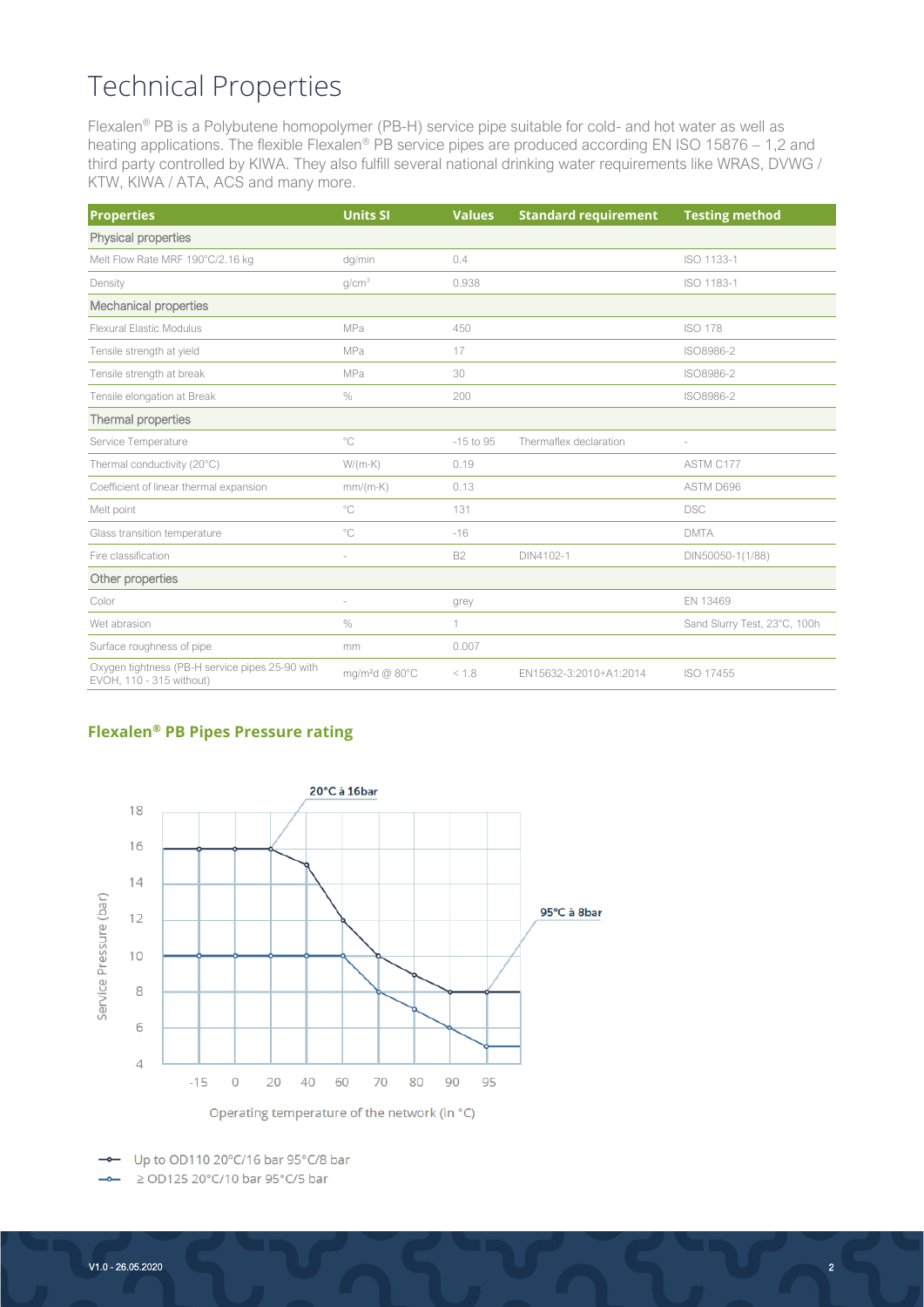## Technical Properties

Flexalen® PB is a Polybutene homopolymer (PB-H) service pipe suitable for cold- and hot water as well as heating applications. The flexible Flexalen® PB service pipes are produced according EN ISO 15876 – 1,2 and third party controlled by KIWA. They also fulfill several national drinking water requirements like WRAS, DVWG / KTW, KIWA / ATA, ACS and many more.

| <b>Properties</b>                                                           | <b>Units SI</b>            | <b>Values</b> | <b>Standard requirement</b> | <b>Testing method</b>        |  |
|-----------------------------------------------------------------------------|----------------------------|---------------|-----------------------------|------------------------------|--|
| Physical properties                                                         |                            |               |                             |                              |  |
| Melt Flow Rate MRF 190°C/2.16 kg                                            | dq/min                     | 0.4           |                             | ISO 1133-1                   |  |
| Density                                                                     | g/cm <sup>3</sup>          | 0.938         |                             | ISO 1183-1                   |  |
| <b>Mechanical properties</b>                                                |                            |               |                             |                              |  |
| Flexural Elastic Modulus                                                    | MPa                        | 450           |                             | <b>ISO 178</b>               |  |
| Tensile strength at yield                                                   | MPa                        | 17            |                             | ISO8986-2                    |  |
| Tensile strength at break                                                   | MPa                        | 30            |                             | ISO8986-2                    |  |
| Tensile elongation at Break                                                 | $\%$                       | 200           |                             | ISO8986-2                    |  |
| Thermal properties                                                          |                            |               |                             |                              |  |
| Service Temperature                                                         | $^{\circ}$ C               | $-15$ to 95   | Thermaflex declaration      | $\sim$                       |  |
| Thermal conductivity (20°C)                                                 | $W/(m \cdot K)$            | 0.19          |                             | ASTM C177                    |  |
| Coefficient of linear thermal expansion                                     | $mm/(m \cdot K)$           | 0.13          |                             | ASTM D696                    |  |
| Melt point                                                                  | $^{\circ}$ C               | 131           |                             | <b>DSC</b>                   |  |
| Glass transition temperature                                                | $^{\circ}$ C               | $-16$         |                             | <b>DMTA</b>                  |  |
| Fire classification                                                         | i,                         | <b>B2</b>     | DIN4102-1                   | DIN50050-1(1/88)             |  |
| Other properties                                                            |                            |               |                             |                              |  |
| Color                                                                       |                            | grey          |                             | EN 13469                     |  |
| Wet abrasion                                                                | $\%$                       | 1             |                             | Sand Slurry Test, 23°C, 100h |  |
| Surface roughness of pipe                                                   | mm                         | 0.007         |                             |                              |  |
| Oxygen tightness (PB-H service pipes 25-90 with<br>EVOH, 110 - 315 without) | mg/m <sup>2</sup> d @ 80°C | < 1.8         | EN15632-3:2010+A1:2014      | ISO 17455                    |  |

#### **Flexalen® PB Pipes Pressure rating**



Up to OD110 20°C/16 bar 95°C/8 bar  $\overline{\phantom{m}}$ ≥ OD125 20°C/10 bar 95°C/5 bar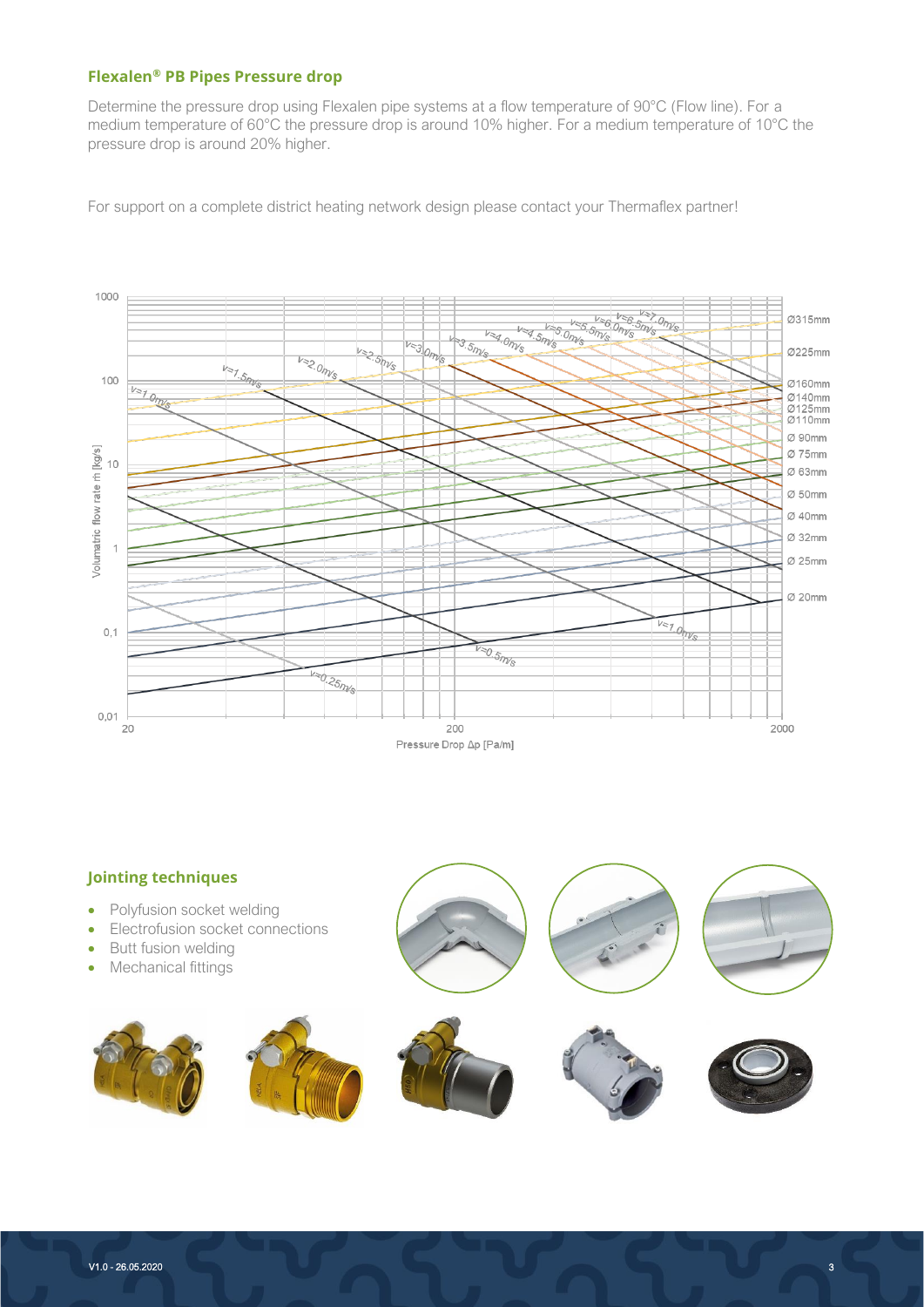#### **Flexalen® PB Pipes Pressure drop**

Determine the pressure drop using Flexalen pipe systems at a flow temperature of 90°C (Flow line). For a medium temperature of 60°C the pressure drop is around 10% higher. For a medium temperature of 10°C the pressure drop is around 20% higher.

For support on a complete district heating network design please contact your Thermaflex partner!



## **Jointing techniques** • Polyfusion socket welding • Electrofusion socket connections Butt fusion welding • Mechanical fittings